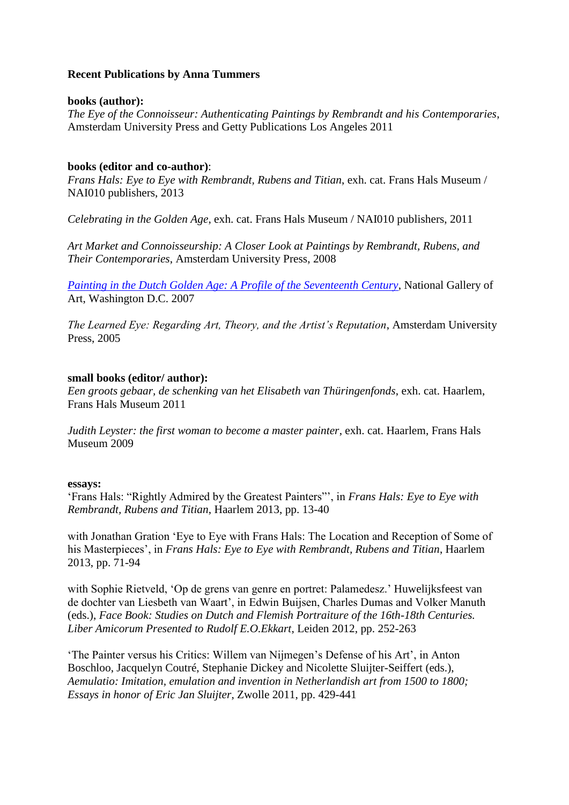# **Recent Publications by Anna Tummers**

## **books (author):**

*The Eye of the Connoisseur: Authenticating Paintings by Rembrandt and his Contemporaries*, Amsterdam University Press and Getty Publications Los Angeles 2011

## **books (editor and co-author)**:

*Frans Hals: Eye to Eye with Rembrandt, Rubens and Titian*, exh. cat. Frans Hals Museum / NAI010 publishers, 2013

*Celebrating in the Golden Age*, exh. cat. Frans Hals Museum / NAI010 publishers, 2011

*Art Market and Connoisseurship: A Closer Look at Paintings by Rembrandt, Rubens, and Their Contemporaries*, Amsterdam University Press, 2008

*[Painting in the Dutch Golden Age: A Profile of the Seventeenth Century](http://www.nga.gov/content/dam/ngaweb/Education/learning-resources/teaching-packets/pdfs/dutch_painting.pdf)*, National Gallery of Art, Washington D.C. 2007

*The Learned Eye: Regarding Art, Theory, and the Artist's Reputation*, Amsterdam University Press, 2005

## **small books (editor/ author):**

*Een groots gebaar, de schenking van het Elisabeth van Thüringenfonds*, exh. cat. Haarlem, Frans Hals Museum 2011

*Judith Leyster: the first woman to become a master painter*, exh. cat. Haarlem, Frans Hals Museum 2009

#### **essays:**

'Frans Hals: "Rightly Admired by the Greatest Painters"', in *Frans Hals: Eye to Eye with Rembrandt, Rubens and Titian*, Haarlem 2013, pp. 13-40

with Jonathan Gration 'Eye to Eye with Frans Hals: The Location and Reception of Some of his Masterpieces', in *Frans Hals: Eye to Eye with Rembrandt, Rubens and Titian*, Haarlem 2013, pp. 71-94

with Sophie Rietveld, 'Op de grens van genre en portret: Palamedesz.' Huwelijksfeest van de dochter van Liesbeth van Waart', in Edwin Buijsen, Charles Dumas and Volker Manuth (eds.), *Face Book: Studies on Dutch and Flemish Portraiture of the 16th-18th Centuries. Liber Amicorum Presented to Rudolf E.O.Ekkart*, Leiden 2012, pp. 252-263

'The Painter versus his Critics: Willem van Nijmegen's Defense of his Art', in Anton Boschloo, Jacquelyn Coutré, Stephanie Dickey and Nicolette Sluijter-Seiffert (eds.), *Aemulatio: Imitation, emulation and invention in Netherlandish art from 1500 to 1800; Essays in honor of Eric Jan Sluijter*, Zwolle 2011, pp. 429-441